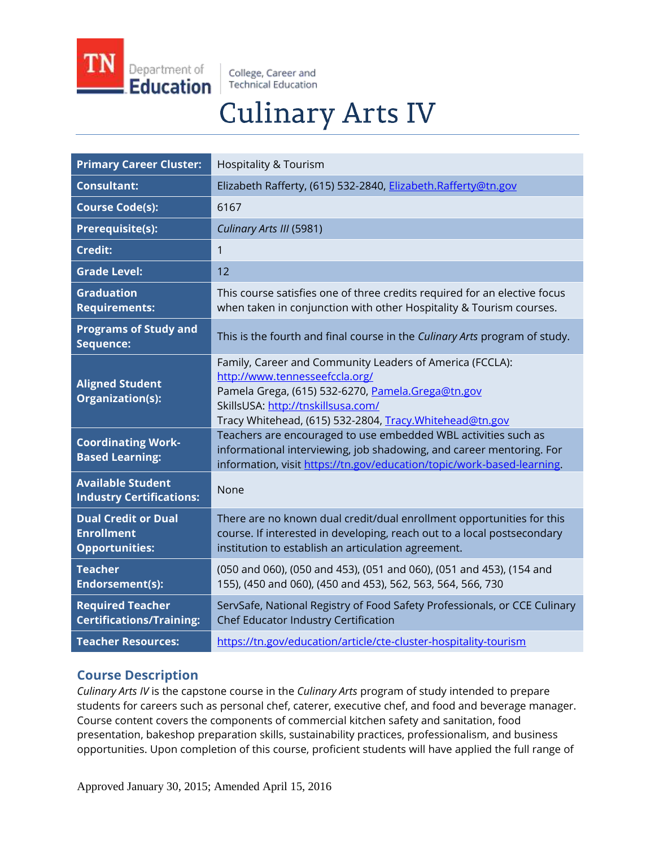

College, Career and **Technical Education** 

# **Culinary Arts IV**

| <b>Primary Career Cluster:</b>                                           | <b>Hospitality &amp; Tourism</b>                                                                                                                                                                                                                  |
|--------------------------------------------------------------------------|---------------------------------------------------------------------------------------------------------------------------------------------------------------------------------------------------------------------------------------------------|
| <b>Consultant:</b>                                                       | Elizabeth Rafferty, (615) 532-2840, Elizabeth.Rafferty@tn.gov                                                                                                                                                                                     |
| <b>Course Code(s):</b>                                                   | 6167                                                                                                                                                                                                                                              |
| <b>Prerequisite(s):</b>                                                  | Culinary Arts III (5981)                                                                                                                                                                                                                          |
| <b>Credit:</b>                                                           | 1                                                                                                                                                                                                                                                 |
| <b>Grade Level:</b>                                                      | 12                                                                                                                                                                                                                                                |
| <b>Graduation</b><br><b>Requirements:</b>                                | This course satisfies one of three credits required for an elective focus<br>when taken in conjunction with other Hospitality & Tourism courses.                                                                                                  |
| <b>Programs of Study and</b><br>Sequence:                                | This is the fourth and final course in the Culinary Arts program of study.                                                                                                                                                                        |
| <b>Aligned Student</b><br>Organization(s):                               | Family, Career and Community Leaders of America (FCCLA):<br>http://www.tennesseefccla.org/<br>Pamela Grega, (615) 532-6270, Pamela.Grega@tn.gov<br>SkillsUSA: http://tnskillsusa.com/<br>Tracy Whitehead, (615) 532-2804, Tracy. Whitehead@tn.gov |
| <b>Coordinating Work-</b><br><b>Based Learning:</b>                      | Teachers are encouraged to use embedded WBL activities such as<br>informational interviewing, job shadowing, and career mentoring. For<br>information, visit https://tn.gov/education/topic/work-based-learning.                                  |
| <b>Available Student</b><br><b>Industry Certifications:</b>              | None                                                                                                                                                                                                                                              |
| <b>Dual Credit or Dual</b><br><b>Enrollment</b><br><b>Opportunities:</b> | There are no known dual credit/dual enrollment opportunities for this<br>course. If interested in developing, reach out to a local postsecondary<br>institution to establish an articulation agreement.                                           |
| <b>Teacher</b><br>Endorsement(s):                                        | (050 and 060), (050 and 453), (051 and 060), (051 and 453), (154 and<br>155), (450 and 060), (450 and 453), 562, 563, 564, 566, 730                                                                                                               |
| <b>Required Teacher</b><br><b>Certifications/Training:</b>               | ServSafe, National Registry of Food Safety Professionals, or CCE Culinary<br>Chef Educator Industry Certification                                                                                                                                 |
| <b>Teacher Resources:</b>                                                | https://tn.gov/education/article/cte-cluster-hospitality-tourism                                                                                                                                                                                  |

# **Course Description**

*Culinary Arts IV* is the capstone course in the *Culinary Arts* program of study intended to prepare students for careers such as personal chef, caterer, executive chef, and food and beverage manager. Course content covers the components of commercial kitchen safety and sanitation, food presentation, bakeshop preparation skills, sustainability practices, professionalism, and business opportunities. Upon completion of this course, proficient students will have applied the full range of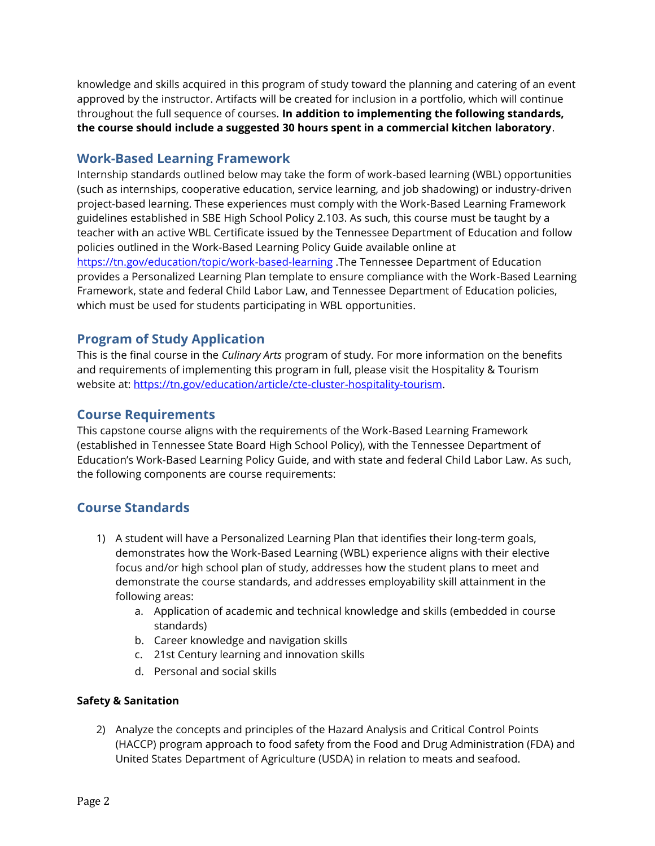knowledge and skills acquired in this program of study toward the planning and catering of an event approved by the instructor. Artifacts will be created for inclusion in a portfolio, which will continue throughout the full sequence of courses. **In addition to implementing the following standards, the course should include a suggested 30 hours spent in a commercial kitchen laboratory**.

# **Work-Based Learning Framework**

Internship standards outlined below may take the form of work-based learning (WBL) opportunities (such as internships, cooperative education, service learning, and job shadowing) or industry-driven project-based learning. These experiences must comply with the Work-Based Learning Framework guidelines established in SBE High School Policy 2.103. As such, this course must be taught by a teacher with an active WBL Certificate issued by the Tennessee Department of Education and follow policies outlined in the Work-Based Learning Policy Guide available online at <https://tn.gov/education/topic/work-based-learning> .The Tennessee Department of Education provides a Personalized Learning Plan template to ensure compliance with the Work-Based Learning Framework, state and federal Child Labor Law, and Tennessee Department of Education policies, which must be used for students participating in WBL opportunities.

# **Program of Study Application**

This is the final course in the *Culinary Arts* program of study. For more information on the benefits and requirements of implementing this program in full, please visit the Hospitality & Tourism website at: [https://tn.gov/education/article/cte-cluster-hospitality-tourism.](https://tn.gov/education/article/cte-cluster-hospitality-tourism)

# **Course Requirements**

This capstone course aligns with the requirements of the Work-Based Learning Framework (established in Tennessee State Board High School Policy), with the Tennessee Department of Education's Work-Based Learning Policy Guide, and with state and federal Child Labor Law. As such, the following components are course requirements:

# **Course Standards**

- 1) A student will have a Personalized Learning Plan that identifies their long-term goals, demonstrates how the Work-Based Learning (WBL) experience aligns with their elective focus and/or high school plan of study, addresses how the student plans to meet and demonstrate the course standards, and addresses employability skill attainment in the following areas:
	- a. Application of academic and technical knowledge and skills (embedded in course standards)
	- b. Career knowledge and navigation skills
	- c. 21st Century learning and innovation skills
	- d. Personal and social skills

## **Safety & Sanitation**

2) Analyze the concepts and principles of the Hazard Analysis and Critical Control Points (HACCP) program approach to food safety from the Food and Drug Administration (FDA) and United States Department of Agriculture (USDA) in relation to meats and seafood.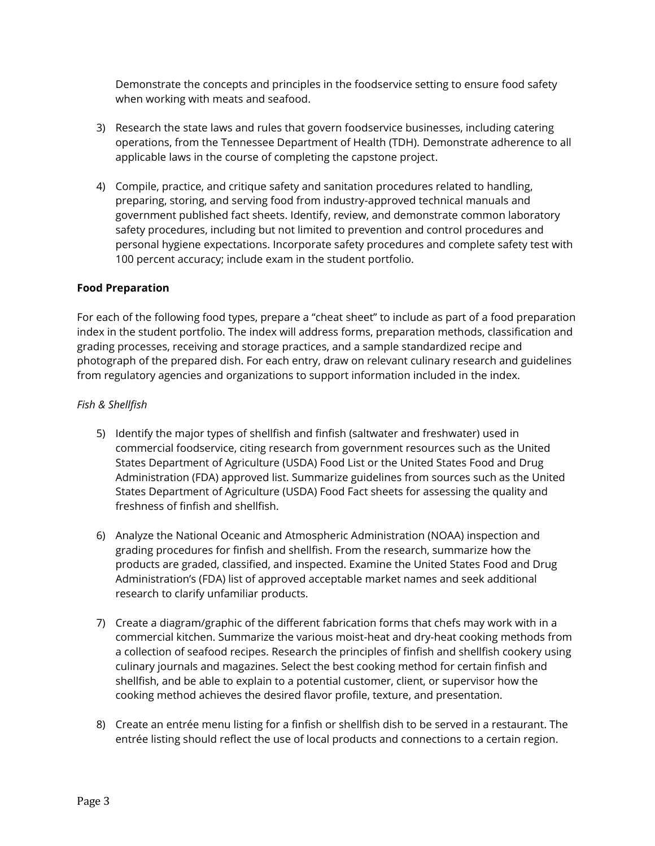Demonstrate the concepts and principles in the foodservice setting to ensure food safety when working with meats and seafood.

- 3) Research the state laws and rules that govern foodservice businesses, including catering operations, from the Tennessee Department of Health (TDH). Demonstrate adherence to all applicable laws in the course of completing the capstone project.
- 4) Compile, practice, and critique safety and sanitation procedures related to handling, preparing, storing, and serving food from industry-approved technical manuals and government published fact sheets. Identify, review, and demonstrate common laboratory safety procedures, including but not limited to prevention and control procedures and personal hygiene expectations. Incorporate safety procedures and complete safety test with 100 percent accuracy; include exam in the student portfolio.

## **Food Preparation**

For each of the following food types, prepare a "cheat sheet" to include as part of a food preparation index in the student portfolio. The index will address forms, preparation methods, classification and grading processes, receiving and storage practices, and a sample standardized recipe and photograph of the prepared dish. For each entry, draw on relevant culinary research and guidelines from regulatory agencies and organizations to support information included in the index.

#### *Fish & Shellfish*

- 5) Identify the major types of shellfish and finfish (saltwater and freshwater) used in commercial foodservice, citing research from government resources such as the United States Department of Agriculture (USDA) Food List or the United States Food and Drug Administration (FDA) approved list. Summarize guidelines from sources such as the United States Department of Agriculture (USDA) Food Fact sheets for assessing the quality and freshness of finfish and shellfish.
- 6) Analyze the National Oceanic and Atmospheric Administration (NOAA) inspection and grading procedures for finfish and shellfish. From the research, summarize how the products are graded, classified, and inspected. Examine the United States Food and Drug Administration's (FDA) list of approved acceptable market names and seek additional research to clarify unfamiliar products.
- 7) Create a diagram/graphic of the different fabrication forms that chefs may work with in a commercial kitchen. Summarize the various moist-heat and dry-heat cooking methods from a collection of seafood recipes. Research the principles of finfish and shellfish cookery using culinary journals and magazines. Select the best cooking method for certain finfish and shellfish, and be able to explain to a potential customer, client, or supervisor how the cooking method achieves the desired flavor profile, texture, and presentation.
- 8) Create an entrée menu listing for a finfish or shellfish dish to be served in a restaurant. The entrée listing should reflect the use of local products and connections to a certain region.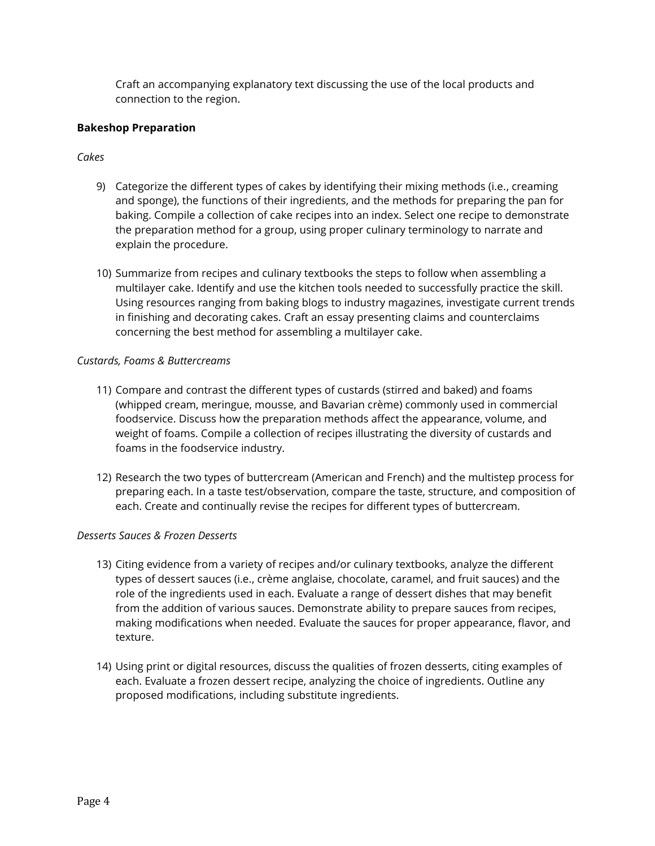Craft an accompanying explanatory text discussing the use of the local products and connection to the region.

#### **Bakeshop Preparation**

## *Cakes*

- 9) Categorize the different types of cakes by identifying their mixing methods (i.e., creaming and sponge), the functions of their ingredients, and the methods for preparing the pan for baking. Compile a collection of cake recipes into an index. Select one recipe to demonstrate the preparation method for a group, using proper culinary terminology to narrate and explain the procedure.
- 10) Summarize from recipes and culinary textbooks the steps to follow when assembling a multilayer cake. Identify and use the kitchen tools needed to successfully practice the skill. Using resources ranging from baking blogs to industry magazines, investigate current trends in finishing and decorating cakes. Craft an essay presenting claims and counterclaims concerning the best method for assembling a multilayer cake.

## *Custards, Foams & Buttercreams*

- 11) Compare and contrast the different types of custards (stirred and baked) and foams (whipped cream, meringue, mousse, and Bavarian crème) commonly used in commercial foodservice. Discuss how the preparation methods affect the appearance, volume, and weight of foams. Compile a collection of recipes illustrating the diversity of custards and foams in the foodservice industry.
- 12) Research the two types of buttercream (American and French) and the multistep process for preparing each. In a taste test/observation, compare the taste, structure, and composition of each. Create and continually revise the recipes for different types of buttercream.

## *Desserts Sauces & Frozen Desserts*

- 13) Citing evidence from a variety of recipes and/or culinary textbooks, analyze the different types of dessert sauces (i.e., crème anglaise, chocolate, caramel, and fruit sauces) and the role of the ingredients used in each. Evaluate a range of dessert dishes that may benefit from the addition of various sauces. Demonstrate ability to prepare sauces from recipes, making modifications when needed. Evaluate the sauces for proper appearance, flavor, and texture.
- 14) Using print or digital resources, discuss the qualities of frozen desserts, citing examples of each. Evaluate a frozen dessert recipe, analyzing the choice of ingredients. Outline any proposed modifications, including substitute ingredients.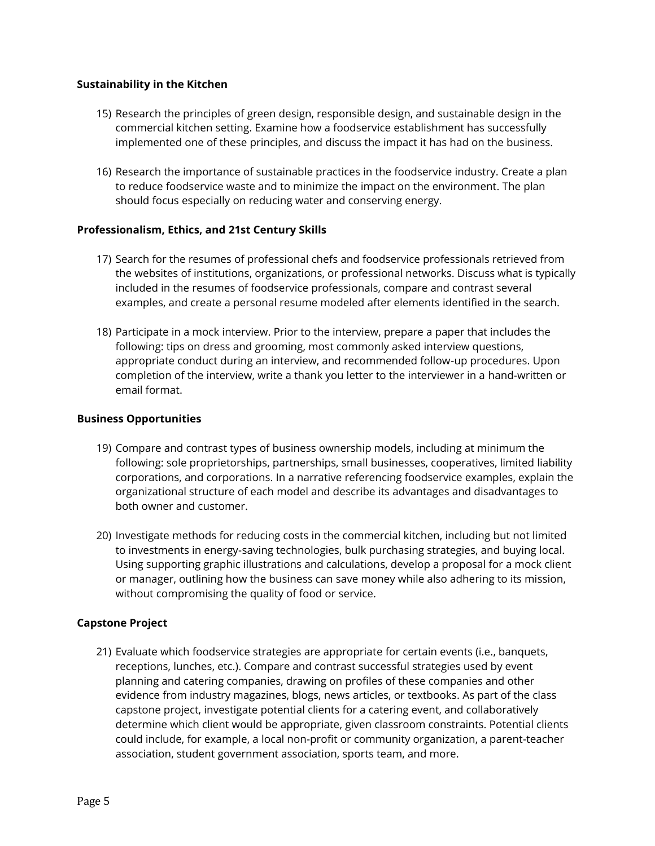#### **Sustainability in the Kitchen**

- 15) Research the principles of green design, responsible design, and sustainable design in the commercial kitchen setting. Examine how a foodservice establishment has successfully implemented one of these principles, and discuss the impact it has had on the business.
- 16) Research the importance of sustainable practices in the foodservice industry. Create a plan to reduce foodservice waste and to minimize the impact on the environment. The plan should focus especially on reducing water and conserving energy.

## **Professionalism, Ethics, and 21st Century Skills**

- 17) Search for the resumes of professional chefs and foodservice professionals retrieved from the websites of institutions, organizations, or professional networks. Discuss what is typically included in the resumes of foodservice professionals, compare and contrast several examples, and create a personal resume modeled after elements identified in the search.
- 18) Participate in a mock interview. Prior to the interview, prepare a paper that includes the following: tips on dress and grooming, most commonly asked interview questions, appropriate conduct during an interview, and recommended follow-up procedures. Upon completion of the interview, write a thank you letter to the interviewer in a hand-written or email format.

#### **Business Opportunities**

- 19) Compare and contrast types of business ownership models, including at minimum the following: sole proprietorships, partnerships, small businesses, cooperatives, limited liability corporations, and corporations. In a narrative referencing foodservice examples, explain the organizational structure of each model and describe its advantages and disadvantages to both owner and customer.
- 20) Investigate methods for reducing costs in the commercial kitchen, including but not limited to investments in energy-saving technologies, bulk purchasing strategies, and buying local. Using supporting graphic illustrations and calculations, develop a proposal for a mock client or manager, outlining how the business can save money while also adhering to its mission, without compromising the quality of food or service.

#### **Capstone Project**

21) Evaluate which foodservice strategies are appropriate for certain events (i.e., banquets, receptions, lunches, etc.). Compare and contrast successful strategies used by event planning and catering companies, drawing on profiles of these companies and other evidence from industry magazines, blogs, news articles, or textbooks. As part of the class capstone project, investigate potential clients for a catering event, and collaboratively determine which client would be appropriate, given classroom constraints. Potential clients could include, for example, a local non-profit or community organization, a parent-teacher association, student government association, sports team, and more.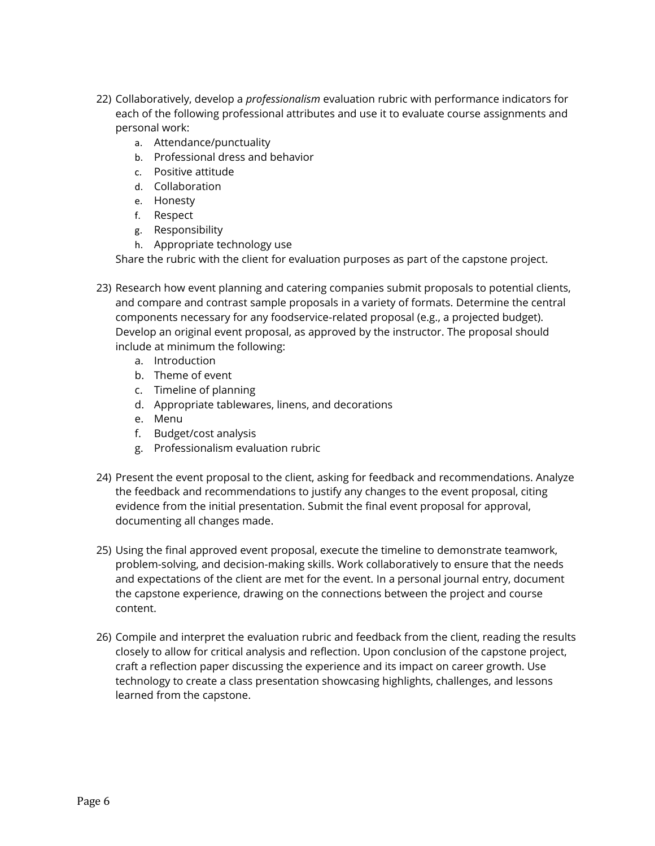- 22) Collaboratively, develop a *professionalism* evaluation rubric with performance indicators for each of the following professional attributes and use it to evaluate course assignments and personal work:
	- a. Attendance/punctuality
	- b. Professional dress and behavior
	- c. Positive attitude
	- d. Collaboration
	- e. Honesty
	- f. Respect
	- g. Responsibility
	- h. Appropriate technology use

Share the rubric with the client for evaluation purposes as part of the capstone project.

- 23) Research how event planning and catering companies submit proposals to potential clients, and compare and contrast sample proposals in a variety of formats. Determine the central components necessary for any foodservice-related proposal (e.g., a projected budget). Develop an original event proposal, as approved by the instructor. The proposal should include at minimum the following:
	- a. Introduction
	- b. Theme of event
	- c. Timeline of planning
	- d. Appropriate tablewares, linens, and decorations
	- e. Menu
	- f. Budget/cost analysis
	- g. Professionalism evaluation rubric
- 24) Present the event proposal to the client, asking for feedback and recommendations. Analyze the feedback and recommendations to justify any changes to the event proposal, citing evidence from the initial presentation. Submit the final event proposal for approval, documenting all changes made.
- 25) Using the final approved event proposal, execute the timeline to demonstrate teamwork, problem-solving, and decision-making skills. Work collaboratively to ensure that the needs and expectations of the client are met for the event. In a personal journal entry, document the capstone experience, drawing on the connections between the project and course content.
- 26) Compile and interpret the evaluation rubric and feedback from the client, reading the results closely to allow for critical analysis and reflection. Upon conclusion of the capstone project, craft a reflection paper discussing the experience and its impact on career growth. Use technology to create a class presentation showcasing highlights, challenges, and lessons learned from the capstone.